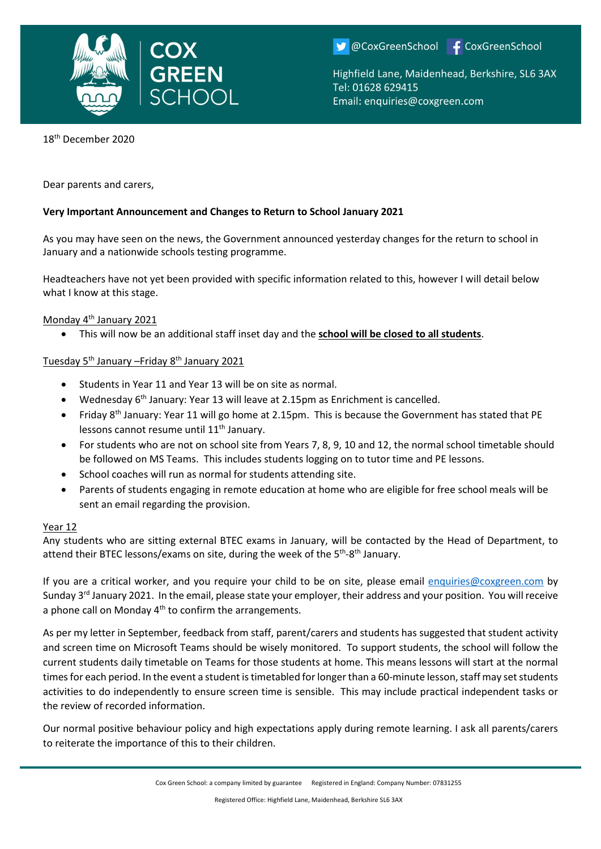

OCoxGreenSchool F CoxGreenSchool

Highfield Lane, Maidenhead, Berkshire, SL6 3AX Tel: 01628 629415 Email: enquiries@coxgreen.com

18th December 2020

Dear parents and carers,

## **Very Important Announcement and Changes to Return to School January 2021**

As you may have seen on the news, the Government announced yesterday changes for the return to school in January and a nationwide schools testing programme.

Headteachers have not yet been provided with specific information related to this, however I will detail below what I know at this stage.

#### Monday 4<sup>th</sup> January 2021

• This will now be an additional staff inset day and the **school will be closed to all students**.

# Tuesday 5th January –Friday 8th January 2021

- Students in Year 11 and Year 13 will be on site as normal.
- Wednesday 6th January: Year 13 will leave at 2.15pm as Enrichment is cancelled.
- Friday 8<sup>th</sup> January: Year 11 will go home at 2.15pm. This is because the Government has stated that PE lessons cannot resume until 11<sup>th</sup> January.
- For students who are not on school site from Years 7, 8, 9, 10 and 12, the normal school timetable should be followed on MS Teams. This includes students logging on to tutor time and PE lessons.
- School coaches will run as normal for students attending site.
- Parents of students engaging in remote education at home who are eligible for free school meals will be sent an email regarding the provision.

#### Year 12

Any students who are sitting external BTEC exams in January, will be contacted by the Head of Department, to attend their BTEC lessons/exams on site, during the week of the 5<sup>th</sup>-8<sup>th</sup> January.

If you are a critical worker, and you require your child to be on site, please email [enquiries@coxgreen.com](mailto:enquiries@coxgreen.com) by Sunday 3<sup>rd</sup> January 2021. In the email, please state your employer, their address and your position. You will receive a phone call on Monday  $4<sup>th</sup>$  to confirm the arrangements.

As per my letter in September, feedback from staff, parent/carers and students has suggested that student activity and screen time on Microsoft Teams should be wisely monitored. To support students, the school will follow the current students daily timetable on Teams for those students at home. This means lessons will start at the normal times for each period. In the event a student is timetabled for longer than a 60-minute lesson, staff may set students activities to do independently to ensure screen time is sensible. This may include practical independent tasks or the review of recorded information.

Our normal positive behaviour policy and high expectations apply during remote learning. I ask all parents/carers to reiterate the importance of this to their children.